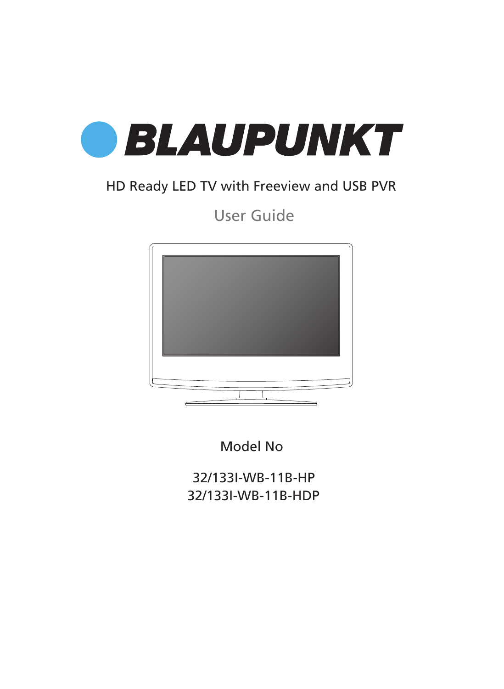

### HD Ready LED TV with Freeview and USB PVR

User Guide



Model No

32/133I-WB-11B-HP 32/133I-WB-11B-HDP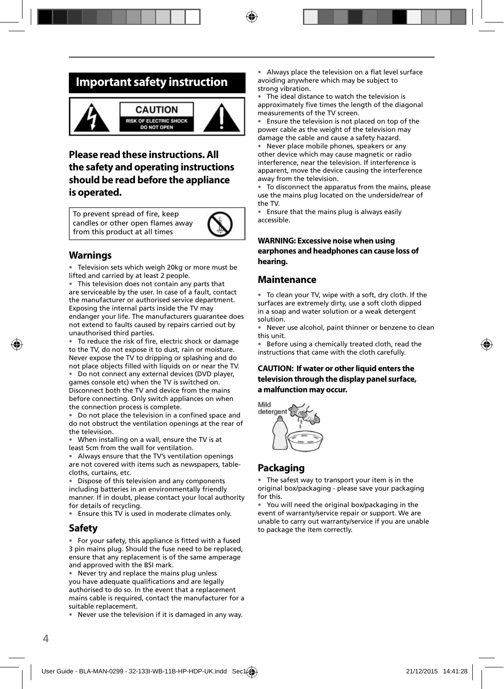### **Important safety instruction**



### **Please read these instructions. All the safety and operating instructions should be read before the appliance is operated.**

To prevent spread of fire, keep candles or other open flames away from this product at all times



### **Warnings**

• Television sets which weigh 20kg or more must be lifted and carried by at least 2 people.

• This television does not contain any parts that are serviceable by the user. In case of a fault, contact the manufacturer or authorised service department. Exposing the internal parts inside the TV may endanger your life. The manufacturers guarantee does not extend to faults caused by repairs carried out by unauthorised third parties.

• To reduce the risk of fire, electric shock or damage to the TV, do not expose it to dust, rain or moisture. Never expose the TV to dripping or splashing and do not place objects filled with liquids on or near the TV.

• Do not connect any external devices (DVD player, games console etc) when the TV is switched on. Disconnect both the TV and device from the mains before connecting. Only switch appliances on when the connection process is complete.

• Do not place the television in a confined space and do not obstruct the ventilation openings at the rear of the television.

• When installing on a wall, ensure the TV is at least 5cm from the wall for ventilation.

• Always ensure that the TV's ventilation openings are not covered with items such as newspapers, tablecloths, curtains, etc.

Dispose of this television and any components including batteries in an environmentally friendly manner. If in doubt, please contact your local authority for details of recycling.

• Ensure this TV is used in moderate climates only.

#### **Safety**

• For your safety, this appliance is fitted with a fused 3 pin mains plug. Should the fuse need to be replaced, ensure that any replacement is of the same amperage and approved with the BSI mark.

• Never try and replace the mains plug unless you have adequate qualifications and are legally authorised to do so. In the event that a replacement mains cable is required, contact the manufacturer for a suitable replacement.

• Never use the television if it is damaged in any way.

Always place the television on a flat level surface avoiding anywhere which may be subject to strong vibration.

The ideal distance to watch the television is approximately five times the length of the diagonal measurements of the TV screen.

• Ensure the television is not placed on top of the power cable as the weight of the television may damage the cable and cause a safety hazard.

• Never place mobile phones, speakers or any other device which may cause magnetic or radio interference, near the television. If interference is apparent, move the device causing the interference away from the television.

• To disconnect the apparatus from the mains, please use the mains plug located on the underside/rear of the TV.

• Ensure that the mains plug is always easily accessible.

#### **WARNING: Excessive noise when using earphones and headphones can cause loss of hearing.**

#### **Maintenance**

• To clean your TV, wipe with a soft, dry cloth. If the surfaces are extremely dirty, use a soft cloth dipped in a soap and water solution or a weak detergent solution.

• Never use alcohol, paint thinner or benzene to clean this unit.

• Before using a chemically treated cloth, read the instructions that came with the cloth carefully.

#### **CAUTION: If water or other liquid enters the television through the display panel surface, a malfunction may occur.**



### **Packaging**

The safest way to transport your item is in the original box/packaging - please save your packaging for this.

• You will need the original box/packaging in the event of warranty/service repair or support. We are unable to carry out warranty/service if you are unable to package the item correctly.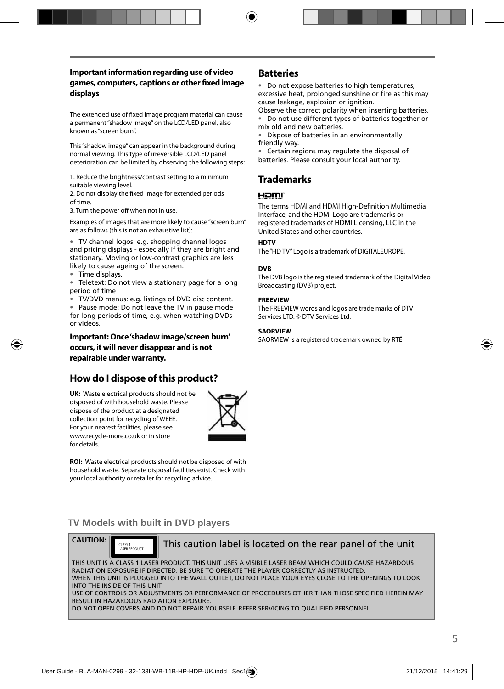#### **Important information regarding use of video games, computers, captions or other fi xed image displays**

The extended use of fixed image program material can cause a permanent "shadow image" on the LCD/LED panel, also known as "screen burn".

This "shadow image" can appear in the background during normal viewing. This type of irreversible LCD/LED panel deterioration can be limited by observing the following steps:

1. Reduce the brightness/contrast setting to a minimum suitable viewing level.

2. Do not display the fixed image for extended periods of time.

3. Turn the power off when not in use.

Examples of images that are more likely to cause "screen burn" are as follows (this is not an exhaustive list):

• TV channel logos: e.g. shopping channel logos and pricing displays - especially if they are bright and stationary. Moving or low-contrast graphics are less likely to cause ageing of the screen.

• Time displays.

• Teletext: Do not view a stationary page for a long period of time

• TV/DVD menus: e.g. listings of DVD disc content.

• Pause mode: Do not leave the TV in pause mode for long periods of time, e.g. when watching DVDs or videos.

**Important: Once 'shadow image/screen burn' occurs, it will never disappear and is not repairable under warranty.**

### **How do I dispose of this product?**

**UK:** Waste electrical products should not be disposed of with household waste. Please dispose of the product at a designated collection point for recycling of WEEE. For your nearest facilities, please see www.recycle-more.co.uk or in store for details.



**ROI:** Waste electrical products should not be disposed of with household waste. Separate disposal facilities exist. Check with your local authority or retailer for recycling advice.

#### **Batteries**

• Do not expose batteries to high temperatures, excessive heat, prolonged sunshine or fire as this may cause leakage, explosion or ignition.

Observe the correct polarity when inserting batteries. • Do not use different types of batteries together or mix old and new batteries.

• Dispose of batteries in an environmentally friendly way.

• Certain regions may regulate the disposal of batteries. Please consult your local authority.

### **Trademarks**

#### HOMI

The terms HDMI and HDMI High-Definition Multimedia Interface, and the HDMI Logo are trademarks or registered trademarks of HDMI Licensing, LLC in the United States and other countries.

#### **HDTV**

The "HD TV" Logo is a trademark of DIGITALEUROPE.

#### **DVB**

The DVB logo is the registered trademark of the Digital Video Broadcasting (DVB) project.

#### **FREEVIEW**

The FREEVIEW words and logos are trade marks of DTV Services LTD. © DTV Services Ltd.

#### **SAORVIEW**

SAORVIEW is a registered trademark owned by RTÉ.

#### **TV Models with built in DVD players**



CLASS 1<br>LASER PRODUCT

This caution label is located on the rear panel of the unit

THIS UNIT IS A CLASS 1 LASER PRODUCT. THIS UNIT USES A VISIBLE LASER BEAM WHICH COULD CAUSE HAZARDOUS RADIATION EXPOSURE IF DIRECTED. BE SURE TO OPERATE THE PLAYER CORRECTLY AS INSTRUCTED. WHEN THIS UNIT IS PLUGGED INTO THE WALL OUTLET, DO NOT PLACE YOUR EYES CLOSE TO THE OPENINGS TO LOOK INTO THE INSIDE OF THIS UNIT.

USE OF CONTROLS OR ADJUSTMENTS OR PERFORMANCE OF PROCEDURES OTHER THAN THOSE SPECIFIED HEREIN MAY RESULT IN HAZARDOUS RADIATION EXPOSURE.

DO NOT OPEN COVERS AND DO NOT REPAIR YOURSELF. REFER SERVICING TO OUALIFIED PERSONNEL.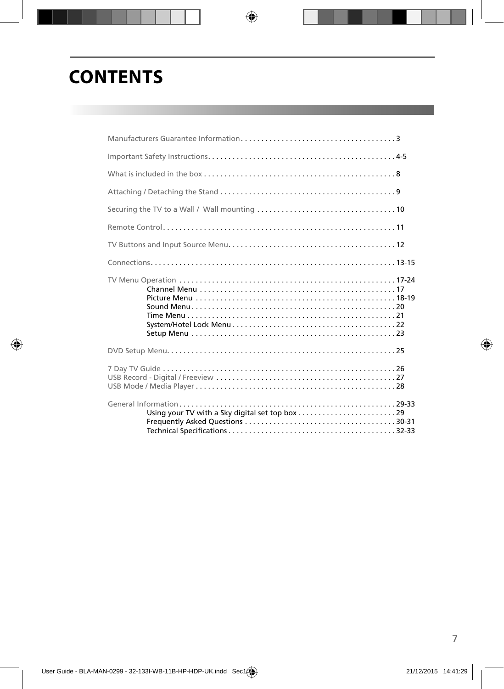# **CONTENTS**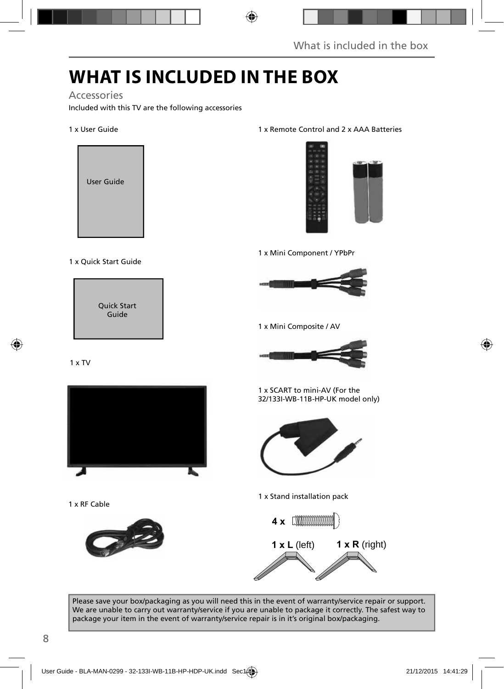## **WHAT IS INCLUDED IN THE BOX**

#### Accessories

Included with this TV are the following accessories

#### 1 x User Guide



#### 1 x Quick Start Guide

Quick Start Guide

#### 1 x TV



1 x RF Cable



#### 1 x Remote Control and 2 x AAA Batteries



1 x Mini Component / YPbPr



1 x Mini Composite / AV



1 x SCART to mini-AV (For the 32/133I-WB-11B-HP-UK model only)



1 x Stand installation pack



Please save your box/packaging as you will need this in the event of warranty/service repair or support. We are unable to carry out warranty/service if you are unable to package it correctly. The safest way to package your item in the event of warranty/service repair is in it's original box/packaging.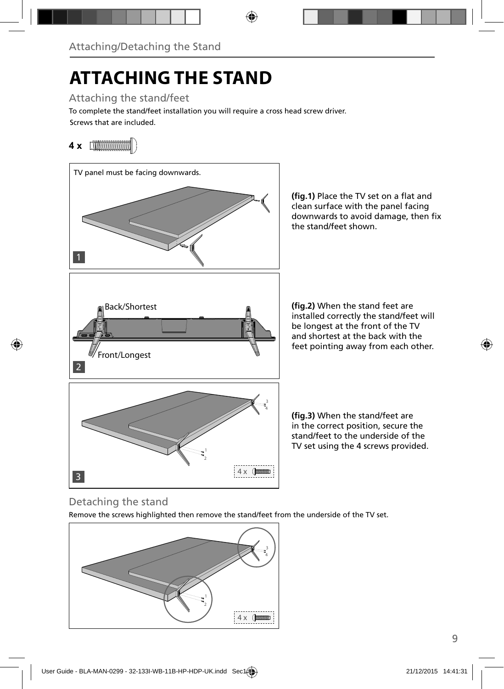# **ATTACHING THE STAND**

Attaching the stand/feet

Screws that are included. To complete the stand/feet installation you will require a cross head screw driver.

### **4 x** [*MMMMMMW*]



### (fig.1) Place the TV set on a flat and clean surface with the panel facing downwards to avoid damage, then fix

(fig.2) When the stand feet are installed correctly the stand/feet will be longest at the front of the TV and shortest at the back with the feet pointing away from each other.

(fig.3) When the stand/feet are in the correct position, secure the stand/feet to the underside of the TV set using the 4 screws provided.

### Detaching the stand

Remove the screws highlighted then remove the stand/feet from the underside of the TV set.

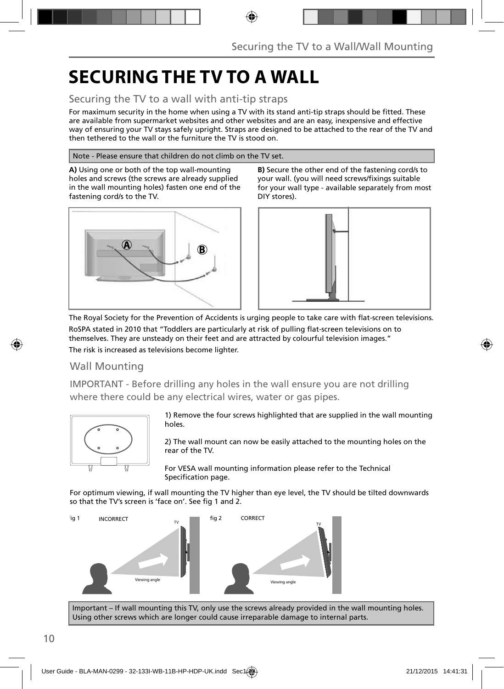## **SECURING THE TV TO A WALL**

### Securing the TV to a wall with anti-tip straps

For maximum security in the home when using a TV with its stand anti-tip straps should be fitted. These are available from supermarket websites and other websites and are an easy, inexpensive and effective way of ensuring your TV stays safely upright. Straps are designed to be attached to the rear of the TV and then tethered to the wall or the furniture the TV is stood on.

#### Note - Please ensure that children do not climb on the TV set.

**A)** Using one or both of the top wall-mounting holes and screws (the screws are already supplied in the wall mounting holes) fasten one end of the fastening cord/s to the TV.



**B)** Secure the other end of the fastening cord/s to your wall. (you will need screws/fixings suitable for your wall type - available separately from most DIY stores).



The Royal Society for the Prevention of Accidents is urging people to take care with flat-screen televisions. RoSPA stated in 2010 that "Toddlers are particularly at risk of pulling flat-screen televisions on to themselves. They are unsteady on their feet and are attracted by colourful television images." The risk is increased as televisions become lighter.

### Wall Mounting

IMPORTANT - Before drilling any holes in the wall ensure you are not drilling where there could be any electrical wires, water or gas pipes.



1) Remove the four screws highlighted that are supplied in the wall mounting holes.

2) The wall mount can now be easily attached to the mounting holes on the rear of the TV.

For VESA wall mounting information please refer to the Technical Specification page.

For optimum viewing, if wall mounting the TV higher than eye level, the TV should be tilted downwards so that the TV's screen is 'face on'. See fig 1 and 2.



Important – If wall mounting this TV, only use the screws already provided in the wall mounting holes. Using other screws which are longer could cause irreparable damage to internal parts.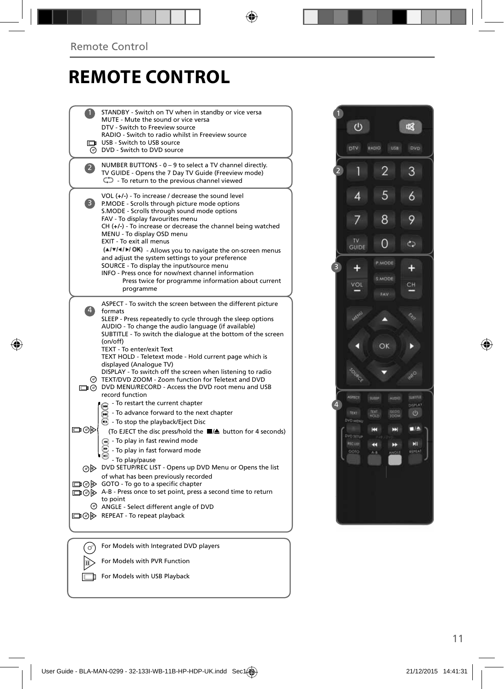## **REMOTE CONTROL**

|              | STANDBY - Switch on TV when in standby or vice versa<br>MUTE - Mute the sound or vice versa<br>DTV - Switch to Freeview source<br>RADIO - Switch to radio whilst in Freeview source<br>USB - Switch to USB source<br><b>O</b> DVD - Switch to DVD source                                                                                                                                                                                                                                                                                                                                                                  |  |
|--------------|---------------------------------------------------------------------------------------------------------------------------------------------------------------------------------------------------------------------------------------------------------------------------------------------------------------------------------------------------------------------------------------------------------------------------------------------------------------------------------------------------------------------------------------------------------------------------------------------------------------------------|--|
| $\mathbf{Z}$ | NUMBER BUTTONS - 0 - 9 to select a TV channel directly.<br>TV GUIDE - Opens the 7 Day TV Guide (Freeview mode)<br>$\mathbb{C}$ - To return to the previous channel viewed                                                                                                                                                                                                                                                                                                                                                                                                                                                 |  |
| 3)           | VOL $(+/-)$ - To increase / decrease the sound level<br>P.MODE - Scrolls through picture mode options<br>S.MODE - Scrolls through sound mode options<br>FAV - To display favourites menu<br>CH (+/-) - To increase or decrease the channel being watched<br>MENU - To display OSD menu<br>EXIT - To exit all menus<br>(A/V/4/M/OK) - Allows you to navigate the on-screen menus<br>and adjust the system settings to your preference<br>SOURCE - To display the input/source menu<br>INFO - Press once for now/next channel information<br>Press twice for programme information about current<br>programme               |  |
| $\ket{4}$    | ASPECT - To switch the screen between the different picture<br>formats<br>SLEEP - Press repeatedly to cycle through the sleep options<br>AUDIO - To change the audio language (if available)<br>SUBTITLE - To switch the dialogue at the bottom of the screen<br>(on/off)<br>TEXT - To enter/exit Text<br>TEXT HOLD - Teletext mode - Hold current page which is<br>displayed (Analoque TV)<br>DISPLAY - To switch off the screen when listening to radio<br>TEXT/DVD ZOOM - Zoom function for Teletext and DVD<br>DIG DVD MENU/RECORD - Access the DVD root menu and USB<br>record function                              |  |
| ▭⊙▷          | - To restart the current chapter<br>- To advance forward to the next chapter<br><b>B</b> - To stop the playback/Eject Disc<br>(To EJECT the disc press/hold the ■▲ button for 4 seconds)<br>$\left( \mathbf{A} \right)$ - To play in fast rewind mode<br>- To play in fast forward mode<br>- To play/pause<br>OD DVD SETUP/REC LIST - Opens up DVD Menu or Opens the list<br>of what has been previously recorded<br>□ ⊙ > GOTO - To go to a specific chapter<br>A-B - Press once to set point, press a second time to return<br>to point<br>© ANGLE - Select different angle of DVD<br>□ ⊙ > REPEAT - To repeat playback |  |
|              | For Models with Integrated DVD players                                                                                                                                                                                                                                                                                                                                                                                                                                                                                                                                                                                    |  |
|              | For Models with PVR Function                                                                                                                                                                                                                                                                                                                                                                                                                                                                                                                                                                                              |  |



For Models with USB Playback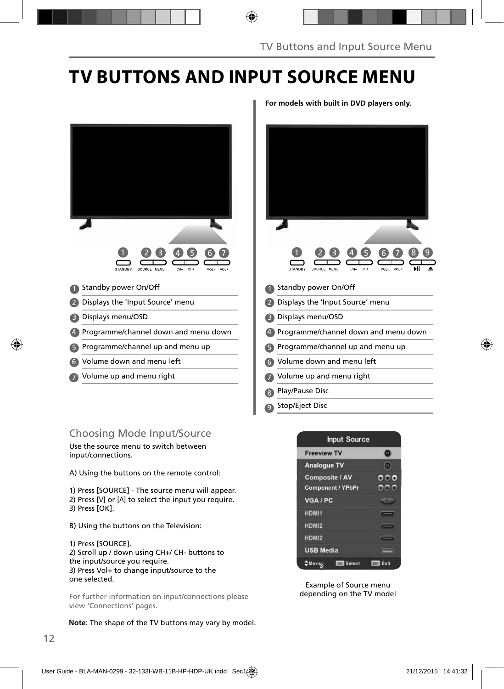## **TV BUTTONS AND INPUT SOURCE MENU**



- 5 Programme/channel up and menu up **6**
- Volume down and menu left 6
- $\overline{7}$  Volume up and menu right  $\overline{7}$

### Choosing Mode Input/Source

Use the source menu to switch between input/connections.

A) Using the buttons on the remote control:

1) Press [SOURCE] - The source menu will appear. 2) Press  $[V]$  or  $[\Lambda]$  to select the input you require. 3) Press [OK].

B) Using the buttons on the Television:

1) Press [SOURCE]. 2) Scroll up / down using CH+/ CH- buttons to the input/source you require. 3) Press Vol+ to change input/source to the one selected.

For further information on input/connections please view 'Connections' pages.

**Note**: The shape of the TV buttons may vary by model.

**For models with built in DVD players only.**





Example of Source menu depending on the TV model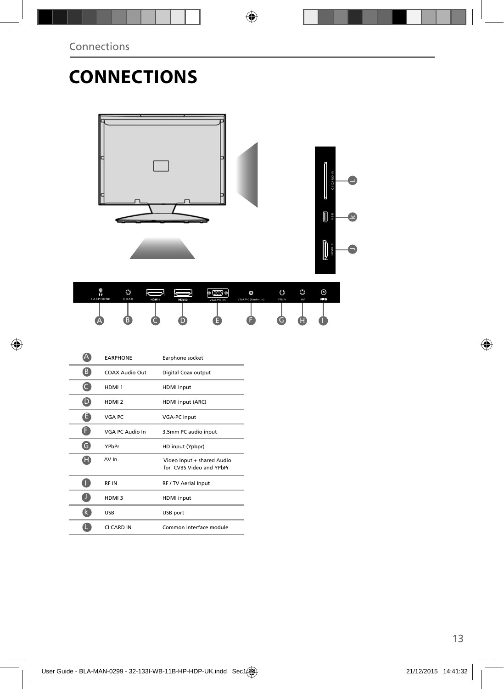## **CONNECTIONS**



|   | <b><i>EARPHONE</i></b> | Earphone socket                                        |
|---|------------------------|--------------------------------------------------------|
| B | COAX Audio Out         | Digital Coax output                                    |
| C | HDMI <sub>1</sub>      | <b>HDMI</b> input                                      |
| D | HDMI <sub>2</sub>      | HDMI input (ARC)                                       |
| Θ | VGA PC                 | <b>VGA-PC</b> input                                    |
| Ó | <b>VGA PC Audio In</b> | 3.5mm PC audio input                                   |
| G | YPbPr                  | HD input (Ypbpr)                                       |
| H | AV In                  | Video Input + shared Audio<br>for CVBS Video and YPbPr |
|   | <b>RFIN</b>            | RF / TV Aerial Input                                   |
|   | HDMI3                  | <b>HDMI</b> input                                      |
|   | USB                    | USB port                                               |
|   | CI CARD IN             | Common Interface module                                |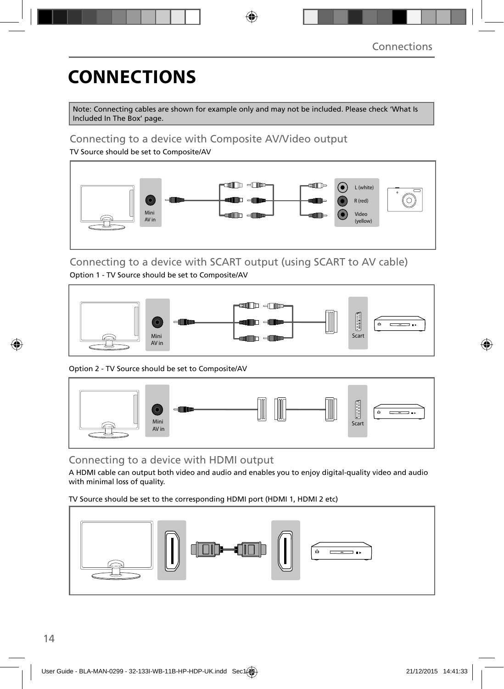# **CONNECTIONS**

Note: Connecting cables are shown for example only and may not be included. Please check 'What Is Included In The Box' page.

### Connecting to a device with Composite AV/Video output

TV Source should be set to Composite/AV



#### Connecting to a device with SCART output (using SCART to AV cable) Option 1 - TV Source should be set to Composite/AV



Option 2 - TV Source should be set to Composite/AV



### Connecting to a device with HDMI output

A HDMI cable can output both video and audio and enables you to enjoy digital-quality video and audio with minimal loss of quality.

TV Source should be set to the corresponding HDMI port (HDMI 1, HDMI 2 etc)

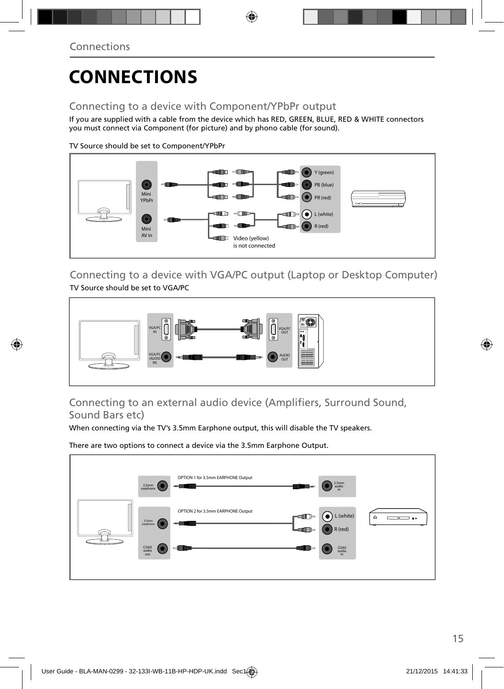## **CONNECTIONS**

### Connecting to a device with Component/YPbPr output

If you are supplied with a cable from the device which has RED, GREEN, BLUE, RED & WHITE connectors you must connect via Component (for picture) and by phono cable (for sound).

TV Source should be set to Component/YPbPr



Connecting to a device with VGA/PC output (Laptop or Desktop Computer) TV Source should be set to VGA/PC



### Connecting to an external audio device (Amplifiers, Surround Sound, Sound Bars etc)

When connecting via the TV's 3.5mm Earphone output, this will disable the TV speakers.

There are two options to connect a device via the 3.5mm Earphone Output.

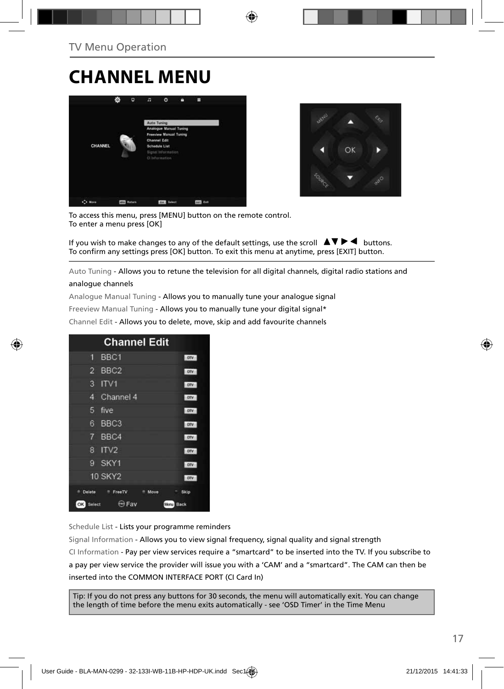## **CHANNEL MENU**





To access this menu, press [MENU] button on the remote control. To enter a menu press [OK]

If you wish to make changes to any of the default settings, use the scroll  $\Delta \nabla \blacktriangleright$   $\blacktriangleleft$  buttons. To confirm any settings press [OK] button. To exit this menu at anytime, press [EXIT] button.

Auto Tuning - Allows you to retune the television for all digital channels, digital radio stations and

#### analogue channels

Analogue Manual Tuning - Allows you to manually tune your analogue signal

Freeview Manual Tuning - Allows you to manually tune your digital signal\*

Channel Edit - Allows you to delete, move, skip and add favourite channels

| <b>Channel Edit</b>                           |            |
|-----------------------------------------------|------------|
| BBC <sub>1</sub><br>9                         | onv        |
| BBC <sub>2</sub><br>$\overline{2}$            | otv        |
| 3<br>ITVI                                     | otv        |
| Channel 4<br>4                                | otv        |
| 5<br>five                                     | otv        |
| BBC <sub>3</sub><br>6                         | <b>DIV</b> |
| $\overline{7}$<br>BBC4                        | onv        |
| ITV <sub>2</sub><br>8                         | onv        |
| SKY1<br>g                                     | onv        |
| <b>10 SKY2</b>                                | otv        |
| Delete<br><sup>#</sup> FreeTV<br>Move         | Skip       |
| <b>Exp</b> Fav<br>OK<br>Select<br><b>Menu</b> | Back       |

Schedule List - Lists your programme reminders

Signal Information - Allows you to view signal frequency, signal quality and signal strength CI Information - Pay per view services require a "smartcard" to be inserted into the TV. If you subscribe to a pay per view service the provider will issue you with a 'CAM' and a "smartcard". The CAM can then be inserted into the COMMON INTERFACE PORT (CI Card In)

Tip: If you do not press any buttons for 30 seconds, the menu will automatically exit. You can change the length of time before the menu exits automatically - see 'OSD Timer' in the Time Menu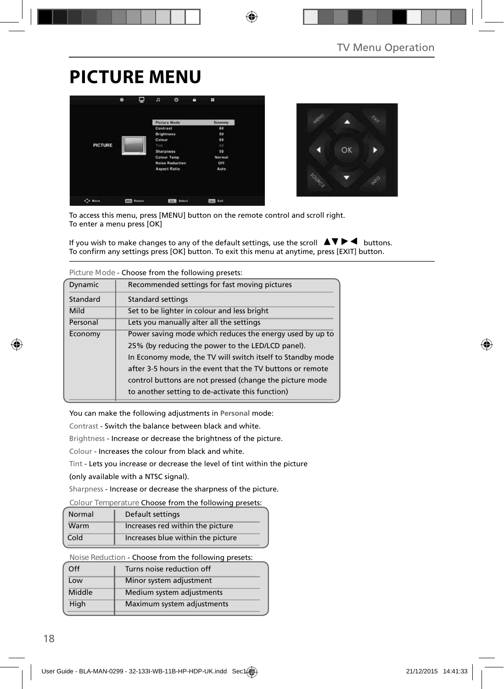## **PICTURE MENU**

|                | Φ<br>۰        | n                 | $\circ$                | п | н             |
|----------------|---------------|-------------------|------------------------|---|---------------|
|                |               |                   | <b>Picture Mode</b>    |   | Economy       |
|                |               | Contrast          |                        |   | 60            |
|                |               | <b>Brightness</b> |                        |   | 50            |
|                |               | Colour            |                        |   | 60            |
| <b>PICTURE</b> |               | Tirit             |                        |   | 50            |
|                |               | <b>Sharpness</b>  |                        |   | 50            |
|                |               |                   | <b>Colour Temp</b>     |   | <b>Normal</b> |
|                |               |                   | <b>Noise Reduction</b> |   | Off           |
|                |               |                   | <b>Aspect Ratio</b>    |   | Auto          |
|                |               |                   |                        |   |               |
| C+ Move        | <b>Return</b> |                   | <b>FORM Select</b>     |   | tur tait      |



To access this menu, press [MENU] button on the remote control and scroll right. To enter a menu press [OK]

If you wish to make changes to any of the default settings, use the scroll  $\blacktriangle \blacktriangledown \blacktriangleright \blacktriangleleft$  buttons. To confirm any settings press [OK] button. To exit this menu at anytime, press [EXIT] button.

| Figure Mode - Choose from the following presets. |                                                            |  |
|--------------------------------------------------|------------------------------------------------------------|--|
| Dynamic                                          | Recommended settings for fast moving pictures              |  |
| Standard                                         | Standard settings                                          |  |
| Mild                                             | Set to be lighter in colour and less bright                |  |
| Personal                                         | Lets you manually alter all the settings                   |  |
| Economy                                          | Power saving mode which reduces the energy used by up to   |  |
|                                                  | 25% (by reducing the power to the LED/LCD panel).          |  |
|                                                  | In Economy mode, the TV will switch itself to Standby mode |  |
|                                                  | after 3-5 hours in the event that the TV buttons or remote |  |
|                                                  | control buttons are not pressed (change the picture mode   |  |
|                                                  | to another setting to de-activate this function)           |  |

**Picture Mode** - Choose from the following presets:

You can make the following adjustments in **Personal** mode:

Contrast - Switch the balance between black and white.

Brightness - Increase or decrease the brightness of the picture.

Colour - Increases the colour from black and white.

Tint - Lets you increase or decrease the level of tint within the picture

(only available with a NTSC signal).

Sharpness - Increase or decrease the sharpness of the picture.

**Colour Temperature** Choose from the following presets:

| Normal | Default settings                  |
|--------|-----------------------------------|
| Warm   | Increases red within the picture  |
| Cold   | Increases blue within the picture |

**Noise Reduction** - Choose from the following presets:

| Off    | Turns noise reduction off  |
|--------|----------------------------|
| Low    | Minor system adjustment    |
| Middle | Medium system adjustments  |
| High   | Maximum system adjustments |
|        |                            |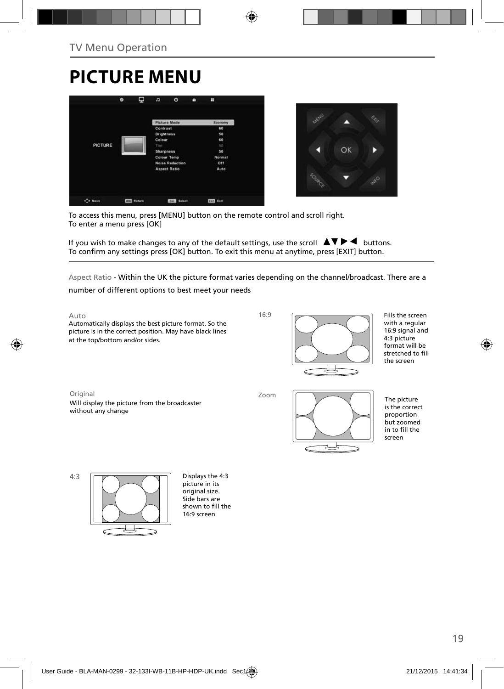# **PICTURE MENU**





To access this menu, press [MENU] button on the remote control and scroll right. To enter a menu press [OK]

If you wish to make changes to any of the default settings, use the scroll  $\blacktriangle \blacktriangledown \blacktriangleright \blacktriangleleft$  buttons. To confirm any settings press [OK] button. To exit this menu at anytime, press [EXIT] button.

Aspect Ratio - Within the UK the picture format varies depending on the channel/broadcast. There are a

number of different options to best meet your needs

Auto Automatically displays the best picture format. So the picture is in the correct position. May have black lines at the top/bottom and/or sides.

 $16.9$ 



Fills the screen with a regular 16:9 signal and 4:3 picture format will be stretched to fill the screen

Original Zoom Will display the picture from the broadcaster without any change



The picture is the correct proportion but zoomed in to fill the screen



picture in its original size. Side bars are shown to fill the 16:9 screen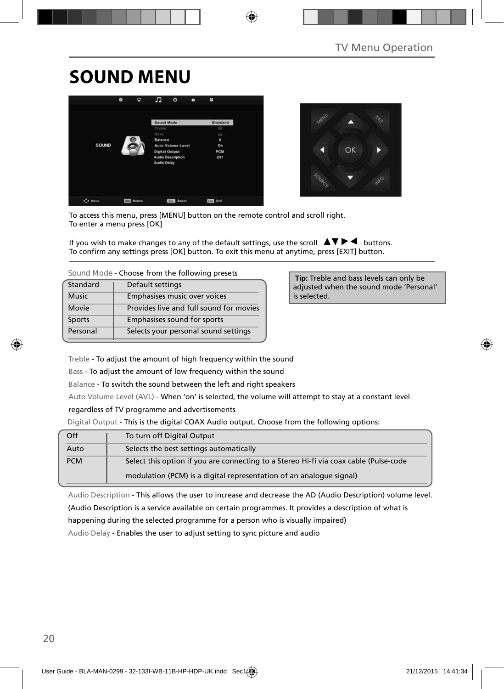## **SOUND MENU**





To access this menu, press [MENU] button on the remote control and scroll right. To enter a menu press [OK]

If you wish to make changes to any of the default settings, use the scroll  $\blacktriangle \blacktriangledown \blacktriangleright \blacktriangleleft$  buttons. To confirm any settings press [OK] button. To exit this menu at anytime, press [EXIT] button.

| Standard     | Default settings                        |
|--------------|-----------------------------------------|
| <b>Music</b> | Emphasises music over voices            |
| Movie        | Provides live and full sound for movies |
| Sports       | Emphasises sound for sports             |
| Personal     | Selects your personal sound settings    |

 **Tip:** Treble and bass levels can only be adjusted when the sound mode 'Personal' is selected.

Treble - To adjust the amount of high frequency within the sound

Bass - To adjust the amount of low frequency within the sound

Balance - To switch the sound between the left and right speakers

Auto Volume Level (AVL) - When 'on' is selected, the volume will attempt to stay at a constant level

regardless of TV programme and advertisements

Digital Output - This is the digital COAX Audio output. Choose from the following options:

| Off        | To turn off Digital Output                                                            |
|------------|---------------------------------------------------------------------------------------|
| Auto       | Selects the best settings automatically                                               |
| <b>PCM</b> | Select this option if you are connecting to a Stereo Hi-fi via coax cable (Pulse-code |
|            | modulation (PCM) is a digital representation of an analogue signal)                   |

Audio Description - This allows the user to increase and decrease the AD (Audio Description) volume level. (Audio Description is a service available on certain programmes. It provides a description of what is

happening during the selected programme for a person who is visually impaired)

Audio Delay - Enables the user to adjust setting to sync picture and audio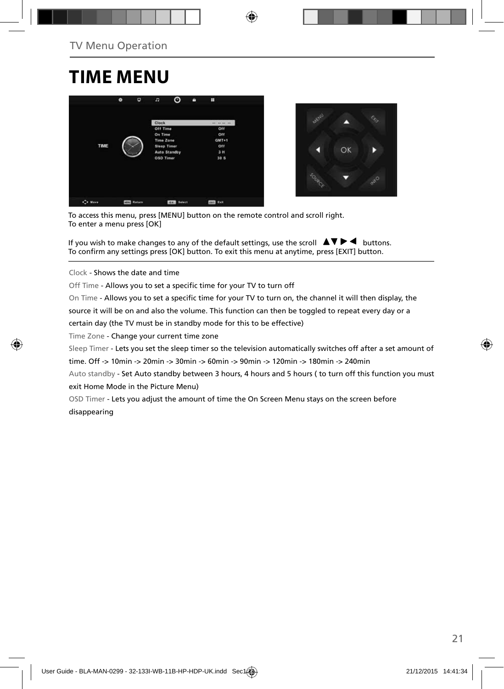## **TIME MENU**





To access this menu, press [MENU] button on the remote control and scroll right. To enter a menu press [OK]

If you wish to make changes to any of the default settings, use the scroll  $\blacktriangle \blacktriangledown \blacktriangleright \blacktriangleleft$  buttons. To confirm any settings press [OK] button. To exit this menu at anytime, press [EXIT] button.

Clock - Shows the date and time

Off Time - Allows you to set a specific time for your TV to turn off

On Time - Allows you to set a specific time for your TV to turn on, the channel it will then display, the

source it will be on and also the volume. This function can then be toggled to repeat every day or a

certain day (the TV must be in standby mode for this to be effective)

Time Zone - Change your current time zone

Sleep Timer - Lets you set the sleep timer so the television automatically switches off after a set amount of

time. Off -> 10min -> 20min -> 30min -> 60min -> 90min -> 120min -> 180min -> 240min

Auto standby - Set Auto standby between 3 hours, 4 hours and 5 hours ( to turn off this function you must exit Home Mode in the Picture Menu)

OSD Timer - Lets you adjust the amount of time the On Screen Menu stays on the screen before disappearing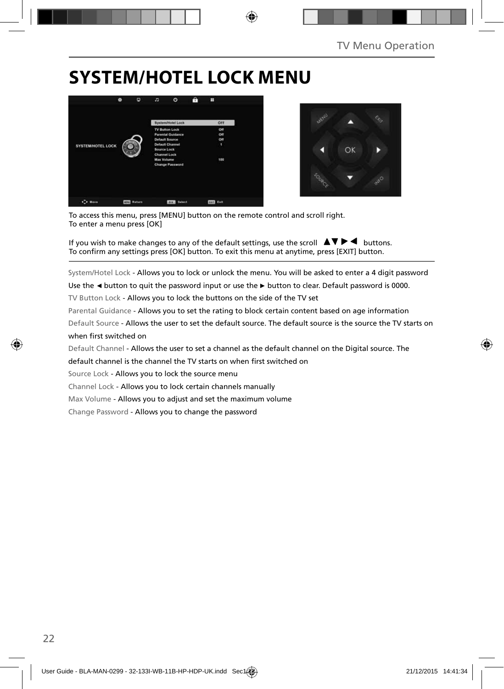## **SYSTEM/HOTEL LOCK MENU**





To access this menu, press [MENU] button on the remote control and scroll right. To enter a menu press [OK]

If you wish to make changes to any of the default settings, use the scroll  $\blacktriangle \blacktriangledown \blacktriangleright \blacktriangleleft$  buttons. To confirm any settings press [OK] button. To exit this menu at anytime, press [EXIT] button.

System/Hotel Lock - Allows you to lock or unlock the menu. You will be asked to enter a 4 digit password

Use the **◄** button to quit the password input or use the **►** button to clear. Default password is 0000.

TV Button Lock - Allows you to lock the buttons on the side of the TV set

Parental Guidance - Allows you to set the rating to block certain content based on age information

Default Source - Allows the user to set the default source. The default source is the source the TV starts on when first switched on

Default Channel - Allows the user to set a channel as the default channel on the Digital source. The

default channel is the channel the TV starts on when first switched on

Source Lock - Allows you to lock the source menu

Channel Lock - Allows you to lock certain channels manually

Max Volume - Allows you to adjust and set the maximum volume

Change Password - Allows you to change the password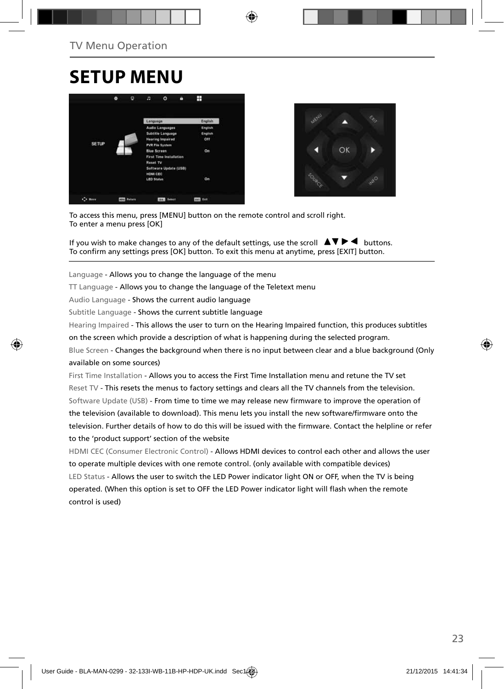## **SETUP MENU**





To access this menu, press [MENU] button on the remote control and scroll right. To enter a menu press [OK]

If you wish to make changes to any of the default settings, use the scroll  $\blacktriangle \blacktriangledown \blacktriangleright \blacktriangleleft$  buttons. To confirm any settings press [OK] button. To exit this menu at anytime, press [EXIT] button.

Language - Allows you to change the language of the menu

TT Language - Allows you to change the language of the Teletext menu

Audio Language - Shows the current audio language

Subtitle Language - Shows the current subtitle language

Hearing Impaired - This allows the user to turn on the Hearing Impaired function, this produces subtitles

on the screen which provide a description of what is happening during the selected program.

Blue Screen - Changes the background when there is no input between clear and a blue background (Only available on some sources)

First Time Installation - Allows you to access the First Time Installation menu and retune the TV set Reset TV - This resets the menus to factory settings and clears all the TV channels from the television. Software Update (USB) - From time to time we may release new firmware to improve the operation of the television (available to download). This menu lets you install the new software/firmware onto the television. Further details of how to do this will be issued with the firmware. Contact the helpline or refer to the 'product support' section of the website

HDMI CEC (Consumer Electronic Control) - Allows HDMI devices to control each other and allows the user to operate multiple devices with one remote control. (only available with compatible devices) LED Status - Allows the user to switch the LED Power indicator light ON or OFF, when the TV is being operated. (When this option is set to OFF the LED Power indicator light will flash when the remote control is used)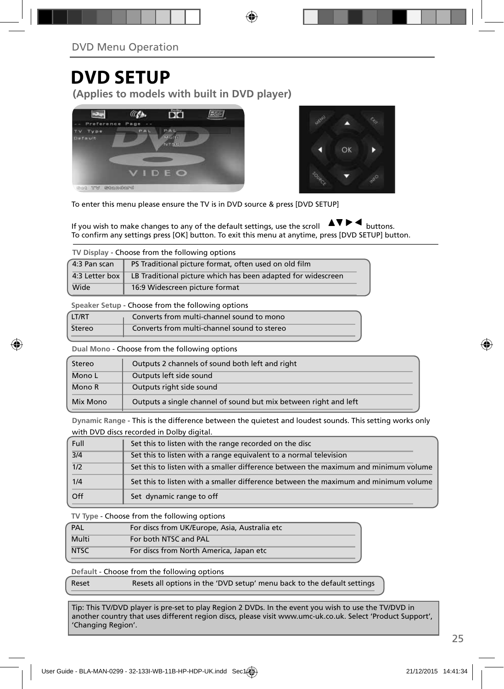## **DVD SETUP**

**(Applies to models with built in DVD player)**





To enter this menu please ensure the TV is in DVD source & press [DVD SETUP]

If you wish to make changes to any of the default settings, use the scroll  $\Delta \nabla \blacktriangleright$   $\blacktriangleleft$  buttons. To confirm any settings press [OK] button. To exit this menu at anytime, press [DVD SETUP] button.

**TV Display** - Choose from the following options

| 4:3 Pan scan   | PS Traditional picture format, often used on old film        |
|----------------|--------------------------------------------------------------|
| 4:3 Letter box | LB Traditional picture which has been adapted for widescreen |
| Wide           | 16:9 Widescreen picture format                               |

**Speaker Setup** - Choose from the following options

| LT/RT  | Converts from multi-channel sound to mono   |
|--------|---------------------------------------------|
| Stereo | Converts from multi-channel sound to stereo |

**Dual Mono** - Choose from the following options

| Stereo   | Outputs 2 channels of sound both left and right                  |  |  |
|----------|------------------------------------------------------------------|--|--|
| Mono L   | Outputs left side sound                                          |  |  |
| Mono R   | Outputs right side sound                                         |  |  |
| Mix Mono | Outputs a single channel of sound but mix between right and left |  |  |

**Dynamic Range** - This is the difference between the quietest and loudest sounds. This setting works only with DVD discs recorded in Dolby digital.

| Full | Set this to listen with the range recorded on the disc                              |
|------|-------------------------------------------------------------------------------------|
| 3/4  | Set this to listen with a range equivalent to a normal television                   |
| 1/2  | Set this to listen with a smaller difference between the maximum and minimum volume |
| 1/4  | Set this to listen with a smaller difference between the maximum and minimum volume |
| Off  | Set dynamic range to off                                                            |

**TV Type** - Choose from the following options

| PAL         | For discs from UK/Europe, Asia, Australia etc |
|-------------|-----------------------------------------------|
| Multi       | For both NTSC and PAL                         |
| <b>NTSC</b> | For discs from North America, Japan etc       |

**Default** - Choose from the following options

| Reset | Resets all options in the 'DVD setup' menu back to the default settings |
|-------|-------------------------------------------------------------------------|
|-------|-------------------------------------------------------------------------|

Tip: This TV/DVD player is pre-set to play Region 2 DVDs. In the event you wish to use the TV/DVD in another country that uses different region discs, please visit www.umc-uk.co.uk. Select 'Product Support', 'Changing Region'.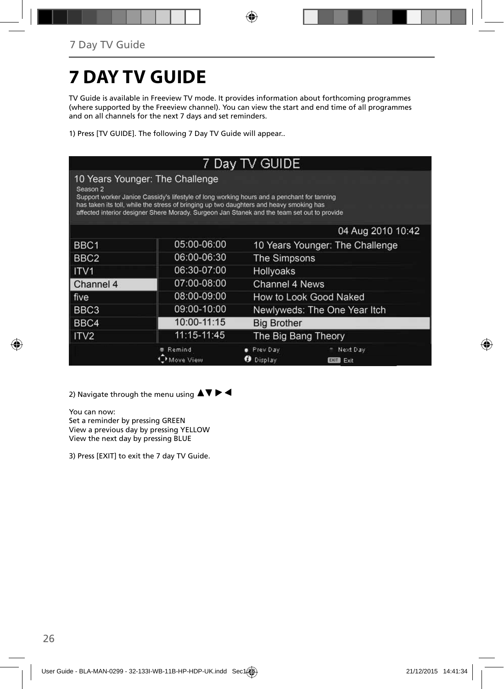# **7 DAY TV GUIDE**

TV Guide is available in Freeview TV mode. It provides information about forthcoming programmes (where supported by the Freeview channel). You can view the start and end time of all programmes and on all channels for the next 7 days and set reminders.

1) Press [TV GUIDE]. The following 7 Day TV Guide will appear..

|                     |                                                                                                                                                                                                                                                                                                                         | 7 Day TV GUIDE               |                                 |  |
|---------------------|-------------------------------------------------------------------------------------------------------------------------------------------------------------------------------------------------------------------------------------------------------------------------------------------------------------------------|------------------------------|---------------------------------|--|
| Season <sub>2</sub> | 10 Years Younger: The Challenge<br>Support worker Janice Cassidy's lifestyle of long working hours and a penchant for tanning<br>has taken its toll, while the stress of bringing up two daughters and heavy smoking has<br>affected interior designer Shere Morady. Surgeon Jan Stanek and the team set out to provide |                              |                                 |  |
|                     |                                                                                                                                                                                                                                                                                                                         |                              | 04 Aug 2010 10:42               |  |
| BBC <sub>1</sub>    | 05:00-06:00                                                                                                                                                                                                                                                                                                             |                              | 10 Years Younger: The Challenge |  |
| BBC <sub>2</sub>    | 06:00-06:30                                                                                                                                                                                                                                                                                                             | The Simpsons                 |                                 |  |
| ITV <sub>1</sub>    | 06:30-07:00                                                                                                                                                                                                                                                                                                             | Hollyoaks                    |                                 |  |
| Channel 4           | 07:00-08:00                                                                                                                                                                                                                                                                                                             | Channel 4 News               |                                 |  |
| five                | 08:00-09:00                                                                                                                                                                                                                                                                                                             | How to Look Good Naked       |                                 |  |
| BBC <sub>3</sub>    | 09:00-10:00                                                                                                                                                                                                                                                                                                             | Newlyweds: The One Year Itch |                                 |  |
| BBC4                | 10:00-11:15                                                                                                                                                                                                                                                                                                             | <b>Big Brother</b>           |                                 |  |
| ITV <sub>2</sub>    | 11:15-11:45                                                                                                                                                                                                                                                                                                             | The Big Bang Theory          |                                 |  |
|                     | Remind<br>Move View                                                                                                                                                                                                                                                                                                     | Prev Day<br>Display          | Next Day<br><b>EXIT</b><br>Exit |  |

2) Navigate through the menu using  $\blacktriangle \blacktriangledown \blacktriangleright \blacktriangleleft$ 

You can now:

Set a reminder by pressing GREEN View a previous day by pressing YELLOW View the next day by pressing BLUE

3) Press [EXIT] to exit the 7 day TV Guide.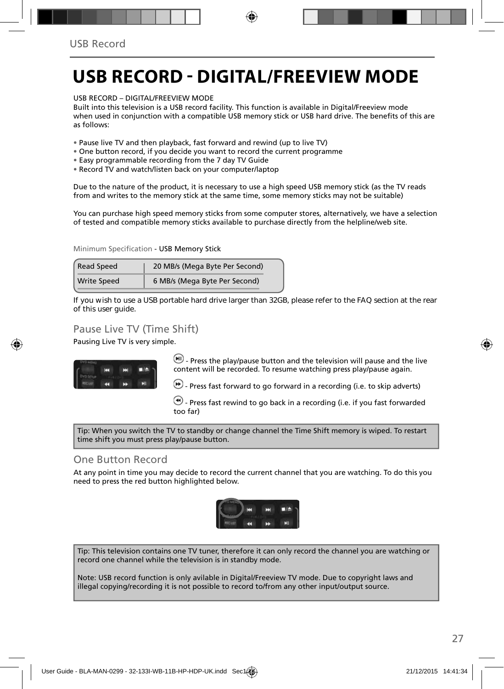## **USB RECORD - DIGITAL/FREEVIEW MODE**

USB RECORD – DIGITAL/FREEVIEW MODE

Built into this television is a USB record facility. This function is available in Digital/Freeview mode when used in conjunction with a compatible USB memory stick or USB hard drive. The benefits of this are as follows:

- Pause live TV and then playback, fast forward and rewind (up to live TV)
- One button record, if you decide you want to record the current programme
- Easy programmable recording from the 7 day TV Guide
- Record TV and watch/listen back on your computer/laptop

Due to the nature of the product, it is necessary to use a high speed USB memory stick (as the TV reads from and writes to the memory stick at the same time, some memory sticks may not be suitable)

You can purchase high speed memory sticks from some computer stores, alternatively, we have a selection of tested and compatible memory sticks available to purchase directly from the helpline/web site.

Minimum Specification - USB Memory Stick

| <b>Read Speed</b>  | 20 MB/s (Mega Byte Per Second) |  |
|--------------------|--------------------------------|--|
| <b>Write Speed</b> | 6 MB/s (Mega Byte Per Second)  |  |

**If you wish to use a USB portable hard drive larger than 32GB, please refer to the FAQ section at the rear of this user guide.**

### Pause Live TV (Time Shift)

Pausing Live TV is very simple.



 $\left(\blacksquare\right)$  - Press the play/pause button and the television will pause and the live content will be recorded. To resume watching press play/pause again.

 $\bigcirc$  - Press fast forward to go forward in a recording (i.e. to skip adverts)

 $\bigcirc$  - Press fast rewind to go back in a recording (i.e. if you fast forwarded too far)

Tip: When you switch the TV to standby or change channel the Time Shift memory is wiped. To restart time shift you must press play/pause button.

#### One Button Record

At any point in time you may decide to record the current channel that you are watching. To do this you need to press the red button highlighted below.



Tip: This television contains one TV tuner, therefore it can only record the channel you are watching or record one channel while the television is in standby mode.

Note: USB record function is only avilable in Digital/Freeview TV mode. Due to copyright laws and illegal copying/recording it is not possible to record to/from any other input/output source.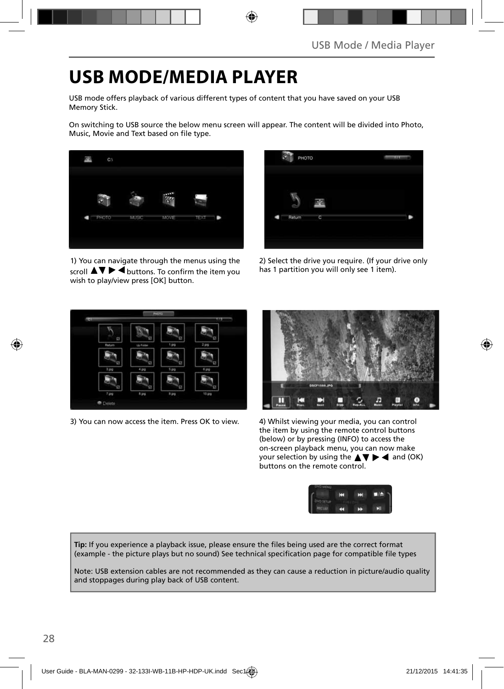## **USB MODE/MEDIA PLAYER**

USB mode offers playback of various different types of content that you have saved on your USB Memory Stick.

On switching to USB source the below menu screen will appear. The content will be divided into Photo, Music, Movie and Text based on file type.



1) You can navigate through the menus using the scroll  $\blacktriangle \blacktriangledown \blacktriangleright \blacktriangleleft$  buttons. To confirm the item you wish to play/view press [OK] button.



2) Select the drive you require. (If your drive only has 1 partition you will only see 1 item).



3) You can now access the item. Press OK to view. 4) Whilst viewing your media, you can control



the item by using the remote control buttons (below) or by pressing (INFO) to access the on-screen playback menu, you can now make your selection by using the  $\blacktriangle \blacktriangledown \blacktriangleright \blacktriangleleft$  and (OK) buttons on the remote control.



Tip: If you experience a playback issue, please ensure the files being used are the correct format (example - the picture plays but no sound) See technical specification page for compatible file types

Note: USB extension cables are not recommended as they can cause a reduction in picture/audio quality and stoppages during play back of USB content.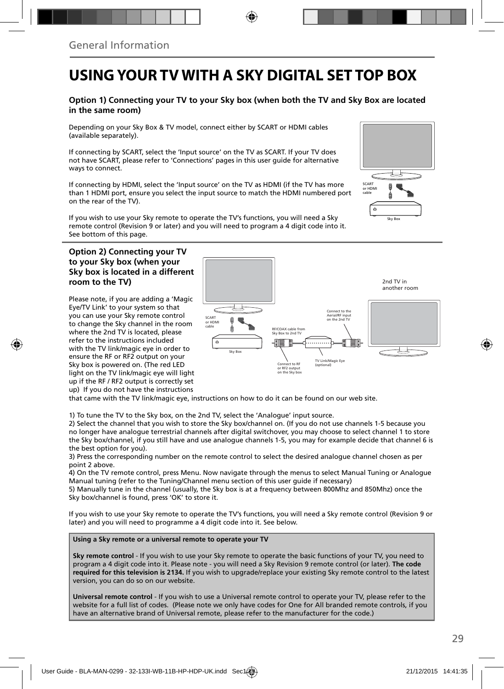## **USING YOUR TV WITH A SKY DIGITAL SET TOP BOX**

#### **Option 1) Connecting your TV to your Sky box (when both the TV and Sky Box are located in the same room)**

Depending on your Sky Box & TV model, connect either by SCART or HDMI cables (available separately).

If connecting by SCART, select the 'Input source' on the TV as SCART. If your TV does not have SCART, please refer to 'Connections' pages in this user guide for alternative ways to connect.

If connecting by HDMI, select the 'Input source' on the TV as HDMI (if the TV has more than 1 HDMI port, ensure you select the input source to match the HDMI numbered port on the rear of the TV).

If you wish to use your Sky remote to operate the TV's functions, you will need a Sky remote control (Revision 9 or later) and you will need to program a 4 digit code into it. See bottom of this page.

#### **Option 2) Connecting your TV to your Sky box (when your Sky box is located in a different room to the TV)**

Please note, if you are adding a 'Magic Eye/TV Link' to your system so that you can use your Sky remote control to change the Sky channel in the room where the 2nd TV is located, please refer to the instructions included with the TV link/magic eye in order to ensure the RF or RF2 output on your Sky box is powered on. (The red LED light on the TV link/magic eye will light up if the RF / RF2 output is correctly set up) If you do not have the instructions



that came with the TV link/magic eye, instructions on how to do it can be found on our web site.

1) To tune the TV to the Sky box, on the 2nd TV, select the 'Analogue' input source.

2) Select the channel that you wish to store the Sky box/channel on. (If you do not use channels 1-5 because you no longer have analogue terrestrial channels after digital switchover, you may choose to select channel 1 to store the Sky box/channel, if you still have and use analogue channels 1-5, you may for example decide that channel 6 is the best option for you).

3) Press the corresponding number on the remote control to select the desired analogue channel chosen as per point 2 above.

4) On the TV remote control, press Menu. Now navigate through the menus to select Manual Tuning or Analogue Manual tuning (refer to the Tuning/Channel menu section of this user guide if necessary)

5) Manually tune in the channel (usually, the Sky box is at a frequency between 800Mhz and 850Mhz) once the Sky box/channel is found, press 'OK' to store it.

If you wish to use your Sky remote to operate the TV's functions, you will need a Sky remote control (Revision 9 or later) and you will need to programme a 4 digit code into it. See below.

#### **Using a Sky remote or a universal remote to operate your TV**

**Sky remote control** - If you wish to use your Sky remote to operate the basic functions of your TV, you need to program a 4 digit code into it. Please note - you will need a Sky Revision 9 remote control (or later). **The code required for this television is 2134.** If you wish to upgrade/replace your existing Sky remote control to the latest version, you can do so on our website.

**Universal remote control** - If you wish to use a Universal remote control to operate your TV, please refer to the website for a full list of codes. (Please note we only have codes for One for All branded remote controls, if you have an alternative brand of Universal remote, please refer to the manufacturer for the code.)

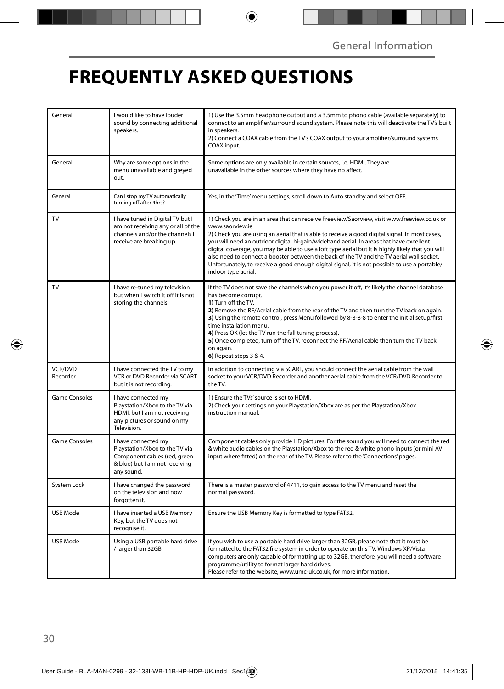## **FREQUENTLY ASKED QUESTIONS**

| General              | I would like to have louder<br>sound by connecting additional<br>speakers.                                                            | 1) Use the 3.5mm headphone output and a 3.5mm to phono cable (available separately) to<br>connect to an amplifier/surround sound system. Please note this will deactivate the TV's built<br>in speakers.<br>2) Connect a COAX cable from the TV's COAX output to your amplifier/surround systems<br>COAX input.                                                                                                                                                                                                                                                                                                                     |  |
|----------------------|---------------------------------------------------------------------------------------------------------------------------------------|-------------------------------------------------------------------------------------------------------------------------------------------------------------------------------------------------------------------------------------------------------------------------------------------------------------------------------------------------------------------------------------------------------------------------------------------------------------------------------------------------------------------------------------------------------------------------------------------------------------------------------------|--|
| General              | Why are some options in the<br>menu unavailable and greyed<br>out.                                                                    | Some options are only available in certain sources, i.e. HDMI. They are<br>unavailable in the other sources where they have no affect.                                                                                                                                                                                                                                                                                                                                                                                                                                                                                              |  |
| General              | Can I stop my TV automatically<br>turning off after 4hrs?                                                                             | Yes, in the 'Time' menu settings, scroll down to Auto standby and select OFF.                                                                                                                                                                                                                                                                                                                                                                                                                                                                                                                                                       |  |
| TV                   | I have tuned in Digital TV but I<br>am not receiving any or all of the<br>channels and/or the channels I<br>receive are breaking up.  | 1) Check you are in an area that can receive Freeview/Saorview, visit www.freeview.co.uk or<br>www.saorview.ie<br>2) Check you are using an aerial that is able to receive a good digital signal. In most cases,<br>you will need an outdoor digital hi-gain/wideband aerial. In areas that have excellent<br>digital coverage, you may be able to use a loft type aerial but it is highly likely that you will<br>also need to connect a booster between the back of the TV and the TV aerial wall socket.<br>Unfortunately, to receive a good enough digital signal, it is not possible to use a portable/<br>indoor type aerial. |  |
| TV                   | I have re-tuned my television<br>but when I switch it off it is not<br>storing the channels.                                          | If the TV does not save the channels when you power it off, it's likely the channel database<br>has become corrupt.<br>1) Turn off the TV.<br>2) Remove the RF/Aerial cable from the rear of the TV and then turn the TV back on again.<br>3) Using the remote control, press Menu followed by 8-8-8-8 to enter the initial setup/first<br>time installation menu.<br>4) Press OK (let the TV run the full tuning process).<br>5) Once completed, turn off the TV, reconnect the RF/Aerial cable then turn the TV back<br>on again.<br>6) Repeat steps 3 & 4.                                                                       |  |
| VCR/DVD<br>Recorder  | I have connected the TV to my<br>VCR or DVD Recorder via SCART<br>but it is not recording.                                            | In addition to connecting via SCART, you should connect the aerial cable from the wall<br>socket to your VCR/DVD Recorder and another aerial cable from the VCR/DVD Recorder to<br>the TV.                                                                                                                                                                                                                                                                                                                                                                                                                                          |  |
| <b>Game Consoles</b> | I have connected my<br>Playstation/Xbox to the TV via<br>HDMI, but I am not receiving<br>any pictures or sound on my<br>Television.   | 1) Ensure the TVs' source is set to HDMI.<br>2) Check your settings on your Playstation/Xbox are as per the Playstation/Xbox<br>instruction manual.                                                                                                                                                                                                                                                                                                                                                                                                                                                                                 |  |
| <b>Game Consoles</b> | I have connected my<br>Playstation/Xbox to the TV via<br>Component cables (red, green<br>& blue) but I am not receiving<br>any sound. | Component cables only provide HD pictures. For the sound you will need to connect the red<br>& white audio cables on the Playstation/Xbox to the red & white phono inputs (or mini AV<br>input where fitted) on the rear of the TV. Please refer to the 'Connections' pages.                                                                                                                                                                                                                                                                                                                                                        |  |
| System Lock          | I have changed the password<br>on the television and now<br>forgotten it.                                                             | There is a master password of 4711, to gain access to the TV menu and reset the<br>normal password.                                                                                                                                                                                                                                                                                                                                                                                                                                                                                                                                 |  |
| <b>USB Mode</b>      | I have inserted a USB Memory<br>Key, but the TV does not<br>recognise it.                                                             | Ensure the USB Memory Key is formatted to type FAT32.                                                                                                                                                                                                                                                                                                                                                                                                                                                                                                                                                                               |  |
| USB Mode             | Using a USB portable hard drive<br>/ larger than 32GB.                                                                                | If you wish to use a portable hard drive larger than 32GB, please note that it must be<br>formatted to the FAT32 file system in order to operate on this TV. Windows XP/Vista<br>computers are only capable of formatting up to 32GB, therefore, you will need a software<br>programme/utility to format larger hard drives.<br>Please refer to the website, www.umc-uk.co.uk, for more information.                                                                                                                                                                                                                                |  |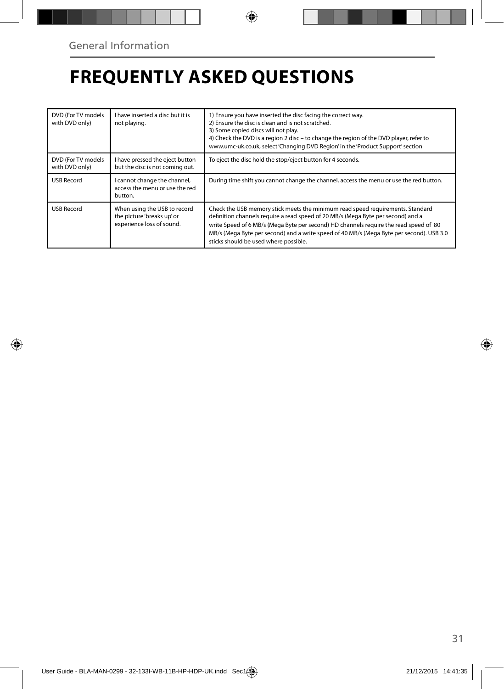## **FREQUENTLY ASKED QUESTIONS**

| DVD (For TV models<br>with DVD only) | I have inserted a disc but it is<br>not playing.                                        | 1) Ensure you have inserted the disc facing the correct way.<br>2) Ensure the disc is clean and is not scratched.<br>3) Some copied discs will not play.<br>4) Check the DVD is a region 2 disc - to change the region of the DVD player, refer to<br>www.umc-uk.co.uk, select 'Changing DVD Region' in the 'Product Support' section                                                            |  |
|--------------------------------------|-----------------------------------------------------------------------------------------|--------------------------------------------------------------------------------------------------------------------------------------------------------------------------------------------------------------------------------------------------------------------------------------------------------------------------------------------------------------------------------------------------|--|
| DVD (For TV models<br>with DVD only) | I have pressed the eject button<br>but the disc is not coming out.                      | To eject the disc hold the stop/eject button for 4 seconds.                                                                                                                                                                                                                                                                                                                                      |  |
| <b>USB Record</b>                    | I cannot change the channel,<br>access the menu or use the red<br>button.               | During time shift you cannot change the channel, access the menu or use the red button.                                                                                                                                                                                                                                                                                                          |  |
| <b>USB Record</b>                    | When using the USB to record<br>the picture 'breaks up' or<br>experience loss of sound. | Check the USB memory stick meets the minimum read speed requirements. Standard<br>definition channels require a read speed of 20 MB/s (Mega Byte per second) and a<br>write Speed of 6 MB/s (Mega Byte per second) HD channels require the read speed of 80<br>MB/s (Mega Byte per second) and a write speed of 40 MB/s (Mega Byte per second). USB 3.0<br>sticks should be used where possible. |  |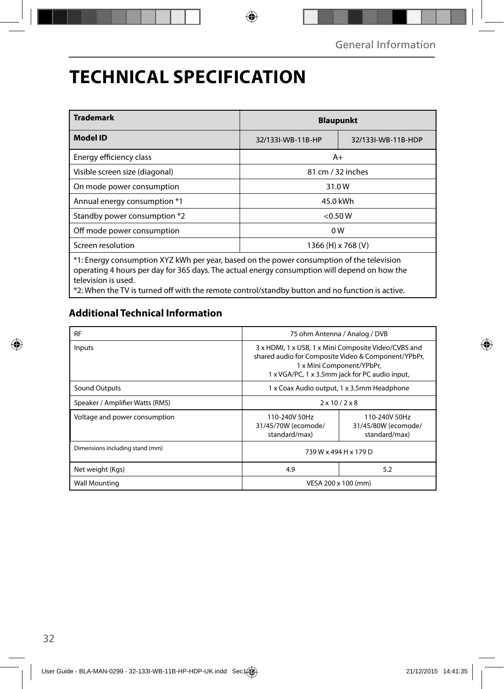## **TECHNICAL SPECIFICATION**

| <b>Trademark</b>                                                                                                                                                                                                 | <b>Blaupunkt</b>   |                    |  |
|------------------------------------------------------------------------------------------------------------------------------------------------------------------------------------------------------------------|--------------------|--------------------|--|
| <b>Model ID</b>                                                                                                                                                                                                  | 32/133I-WB-11B-HP  | 32/133I-WB-11B-HDP |  |
| Energy efficiency class                                                                                                                                                                                          | $A+$               |                    |  |
| Visible screen size (diagonal)<br>81 cm / 32 inches                                                                                                                                                              |                    |                    |  |
| On mode power consumption                                                                                                                                                                                        | 31.0W              |                    |  |
| Annual energy consumption *1<br>45.0 kWh                                                                                                                                                                         |                    |                    |  |
| Standby power consumption *2                                                                                                                                                                                     | < 0.50 W           |                    |  |
| Off mode power consumption<br>0 <sub>W</sub>                                                                                                                                                                     |                    |                    |  |
| Screen resolution                                                                                                                                                                                                | 1366 (H) x 768 (V) |                    |  |
| *1: Energy consumption XYZ kWh per year, based on the power consumption of the television<br>operating 4 hours per day for 365 days. The actual energy consumption will depend on how the<br>television is used. |                    |                    |  |

\*2: When the TV is turned off with the remote control/standby button and no function is active.

### **Additional Technical Information**

| <b>RF</b>                       | 75 ohm Antenna / Analog / DVB                                                                                                                                                              |  |  |
|---------------------------------|--------------------------------------------------------------------------------------------------------------------------------------------------------------------------------------------|--|--|
| Inputs                          | 3 x HDMI, 1 x USB, 1 x Mini Composite Video/CVBS and<br>shared audio for Composite Video & Component/YPbPr,<br>1 x Mini Component/YPbPr,<br>1 x VGA/PC, 1 x 3.5mm jack for PC audio input, |  |  |
| <b>Sound Outputs</b>            | 1 x Coax Audio output, 1 x 3.5mm Headphone                                                                                                                                                 |  |  |
| Speaker / Amplifier Watts (RMS) | $2 \times 10 / 2 \times 8$                                                                                                                                                                 |  |  |
| Voltage and power consumption   | 110-240V 50Hz<br>110-240V 50Hz<br>31/45/70W (ecomode/<br>31/45/80W (ecomode/<br>standard/max)<br>standard/max)                                                                             |  |  |
| Dimensions including stand (mm) | 739 W x 494 H x 179 D                                                                                                                                                                      |  |  |
| Net weight (Kgs)                | 4.9<br>5.2                                                                                                                                                                                 |  |  |
| <b>Wall Mounting</b>            | VESA 200 x 100 (mm)                                                                                                                                                                        |  |  |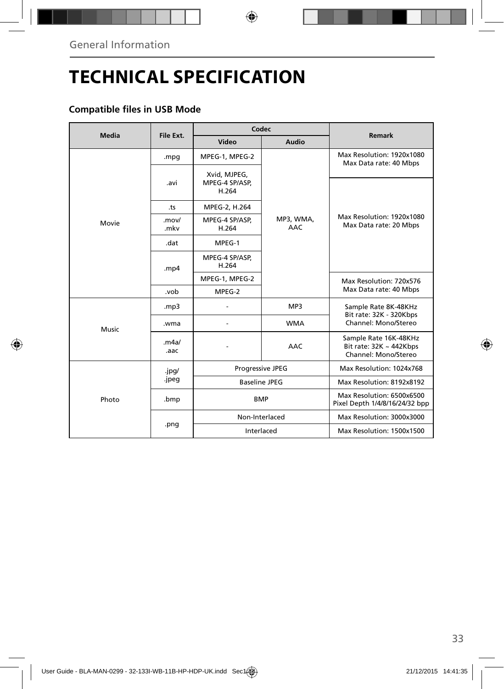## **TECHNICAL SPECIFICATION**

### **Compatible files in USB Mode**

| <b>Media</b> | File Ext.     | Codec                                   |                  | Remark                                                                   |
|--------------|---------------|-----------------------------------------|------------------|--------------------------------------------------------------------------|
|              |               | Video                                   | Audio            |                                                                          |
|              | .mpg          | MPEG-1, MPEG-2                          |                  | Max Resolution: 1920x1080<br>Max Data rate: 40 Mbps                      |
|              | .avi          | Xvid, MJPEG,<br>MPEG-4 SP/ASP,<br>H.264 |                  |                                                                          |
|              | .ts           | MPEG-2, H.264                           |                  |                                                                          |
| Movie        | .mov/<br>.mkv | MPEG-4 SP/ASP,<br>H.264                 | MP3, WMA,<br>AAC | Max Resolution: 1920x1080<br>Max Data rate: 20 Mbps                      |
|              | .dat          | MPEG-1                                  |                  |                                                                          |
|              | . $mp4$       | MPEG-4 SP/ASP,<br>H.264                 |                  |                                                                          |
|              |               | MPEG-1, MPEG-2                          |                  | Max Resolution: 720x576                                                  |
|              | .vob          | MPEG-2                                  |                  | Max Data rate: 40 Mbps                                                   |
|              | mp3.          |                                         | MP3              | Sample Rate 8K-48KHz<br>Bit rate: 32K - 320Kbps                          |
| Music        | .wma          |                                         | <b>WMA</b>       | Channel: Mono/Stereo                                                     |
|              | .m4a/<br>.aac |                                         | <b>AAC</b>       | Sample Rate 16K-48KHz<br>Bit rate: 32K ~ 442Kbps<br>Channel: Mono/Stereo |
|              | .jpg/         | Progressive JPEG                        |                  | Max Resolution: 1024x768                                                 |
|              | .jpeg         | <b>Baseline JPEG</b>                    |                  | Max Resolution: 8192x8192                                                |
| Photo        | .bmp          | <b>BMP</b>                              |                  | Max Resolution: 6500x6500<br>Pixel Depth 1/4/8/16/24/32 bpp              |
|              | .png          | Non-Interlaced                          |                  | Max Resolution: 3000x3000                                                |
|              |               | Interlaced                              |                  | Max Resolution: 1500x1500                                                |